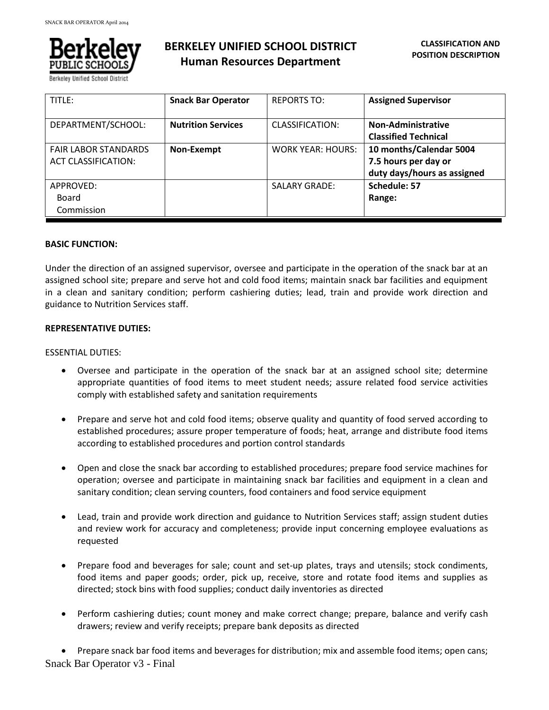

Berkelev Unified School Distric

# **BERKELEY UNIFIED SCHOOL DISTRICT Human Resources Department**

| TITLE:                                                    | <b>Snack Bar Operator</b> | <b>REPORTS TO:</b>       | <b>Assigned Supervisor</b>                                                     |
|-----------------------------------------------------------|---------------------------|--------------------------|--------------------------------------------------------------------------------|
| DEPARTMENT/SCHOOL:                                        | <b>Nutrition Services</b> | CLASSIFICATION:          | <b>Non-Administrative</b><br><b>Classified Technical</b>                       |
| <b>FAIR LABOR STANDARDS</b><br><b>ACT CLASSIFICATION:</b> | Non-Exempt                | <b>WORK YEAR: HOURS:</b> | 10 months/Calendar 5004<br>7.5 hours per day or<br>duty days/hours as assigned |
| APPROVED:<br>Board<br>Commission                          |                           | <b>SALARY GRADE:</b>     | Schedule: 57<br>Range:                                                         |

## **BASIC FUNCTION:**

Under the direction of an assigned supervisor, oversee and participate in the operation of the snack bar at an assigned school site; prepare and serve hot and cold food items; maintain snack bar facilities and equipment in a clean and sanitary condition; perform cashiering duties; lead, train and provide work direction and guidance to Nutrition Services staff.

## **REPRESENTATIVE DUTIES:**

#### ESSENTIAL DUTIES:

- Oversee and participate in the operation of the snack bar at an assigned school site; determine appropriate quantities of food items to meet student needs; assure related food service activities comply with established safety and sanitation requirements
- Prepare and serve hot and cold food items; observe quality and quantity of food served according to established procedures; assure proper temperature of foods; heat, arrange and distribute food items according to established procedures and portion control standards
- Open and close the snack bar according to established procedures; prepare food service machines for operation; oversee and participate in maintaining snack bar facilities and equipment in a clean and sanitary condition; clean serving counters, food containers and food service equipment
- Lead, train and provide work direction and guidance to Nutrition Services staff; assign student duties and review work for accuracy and completeness; provide input concerning employee evaluations as requested
- Prepare food and beverages for sale; count and set-up plates, trays and utensils; stock condiments, food items and paper goods; order, pick up, receive, store and rotate food items and supplies as directed; stock bins with food supplies; conduct daily inventories as directed
- Perform cashiering duties; count money and make correct change; prepare, balance and verify cash drawers; review and verify receipts; prepare bank deposits as directed

Snack Bar Operator v3 - Final Prepare snack bar food items and beverages for distribution; mix and assemble food items; open cans;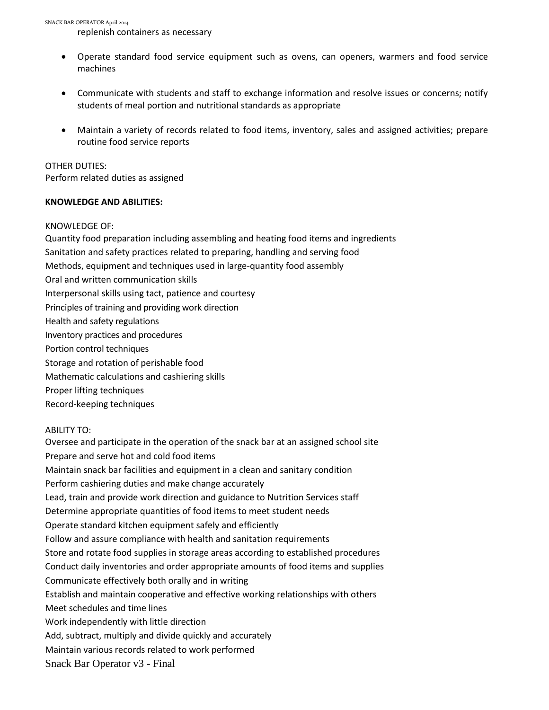SNACK BAR OPERATOR April 2014

replenish containers as necessary

- Operate standard food service equipment such as ovens, can openers, warmers and food service machines
- Communicate with students and staff to exchange information and resolve issues or concerns; notify students of meal portion and nutritional standards as appropriate
- Maintain a variety of records related to food items, inventory, sales and assigned activities; prepare routine food service reports

OTHER DUTIES:

Perform related duties as assigned

# **KNOWLEDGE AND ABILITIES:**

# KNOWLEDGE OF:

Quantity food preparation including assembling and heating food items and ingredients

- Sanitation and safety practices related to preparing, handling and serving food
- Methods, equipment and techniques used in large-quantity food assembly
- Oral and written communication skills
- Interpersonal skills using tact, patience and courtesy
- Principles of training and providing work direction
- Health and safety regulations
- Inventory practices and procedures
- Portion control techniques
- Storage and rotation of perishable food
- Mathematic calculations and cashiering skills
- Proper lifting techniques
- Record-keeping techniques

# ABILITY TO:

Snack Bar Operator v3 - Final Oversee and participate in the operation of the snack bar at an assigned school site Prepare and serve hot and cold food items Maintain snack bar facilities and equipment in a clean and sanitary condition Perform cashiering duties and make change accurately Lead, train and provide work direction and guidance to Nutrition Services staff Determine appropriate quantities of food items to meet student needs Operate standard kitchen equipment safely and efficiently Follow and assure compliance with health and sanitation requirements Store and rotate food supplies in storage areas according to established procedures Conduct daily inventories and order appropriate amounts of food items and supplies Communicate effectively both orally and in writing Establish and maintain cooperative and effective working relationships with others Meet schedules and time lines Work independently with little direction Add, subtract, multiply and divide quickly and accurately Maintain various records related to work performed